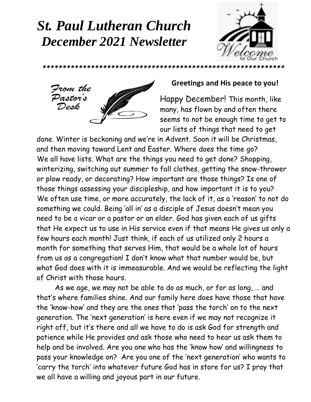## *St. Paul Lutheran Church December 2021 Newsletter*





### **Greetings and His peace to you!**

Happy December! This month, like many, has flown by and often there seems to not be enough time to get to our lists of things that need to get

done. Winter is beckoning and we're in Advent. Soon it will be Christmas, and then moving toward Lent and Easter. Where does the time go? We all have lists. What are the things you need to get done? Shopping, winterizing, switching out summer to fall clothes, getting the snow-thrower or plow ready, or decorating? How important are those things? Is one of those things assessing your discipleship, and how important it is to you? We often use time, or more accurately, the lack of it, as a 'reason' to not do something we could. Being 'all in' as a disciple of Jesus doesn't mean you need to be a vicar or a pastor or an elder. God has given each of us gifts that He expect us to use in His service even if that means He gives us only a few hours each month! Just think, if each of us utilized only 2 hours a month for something that serves Him, that would be a whole lot of hours from us as a congregation! I don't know what that number would be, but what God does with it is immeasurable. And we would be reflecting the light of Christ with those hours.

As we age, we may not be able to do as much, or for as long, … and that's where families shine. And our family here does have those that have the 'know-how' and they are the ones that 'pass the torch' on to the next generation. The 'next generation' is here even if we may not recognize it right off, but it's there and all we have to do is ask God for strength and patience while He provides and ask those who need to hear us ask them to help and be involved. Are you one who has the 'know how' and willingness to pass your knowledge on? Are you one of the 'next generation' who wants to 'carry the torch' into whatever future God has in store for us? I pray that we all have a willing and joyous part in our future.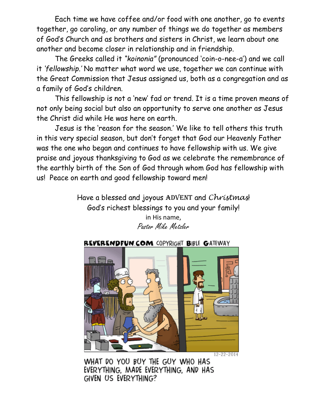Each time we have coffee and/or food with one another, go to events together, go caroling, or any number of things we do together as members of God's Church and as brothers and sisters in Christ, we learn about one another and become closer in relationship and in friendship.

The Greeks called it *"koinonia"* (pronounced 'coin-o-nee-a') and we call it *'fellowship.'* No matter what word we use, together we can continue with the Great Commission that Jesus assigned us, both as a congregation and as a family of God's children.

This fellowship is not a 'new' fad or trend. It is a time proven means of not only being social but also an opportunity to serve one another as Jesus the Christ did while He was here on earth.

Jesus is the 'reason for the season.' We like to tell others this truth in this very special season, but don't forget that God our Heavenly Father was the one who began and continues to have fellowship with us. We give praise and joyous thanksgiving to God as we celebrate the remembrance of the earthly birth of the Son of God through whom God has fellowship with us! Peace on earth and good fellowship toward men!

> Have a blessed and joyous ADVENT and *Christmas*! God's richest blessings to you and your family!

in His name, Pastor Mike Metzler

### REVERENDFUN.COM COPYRIGHT BIBLE GATEWAY



 $12 - 22 - 2014$ 

WHAT DO YOU BUY THE GUY WHO HAS EVERYTHING, MADE EVERYTHING, AND HAS GIVEN US EVERYTHING?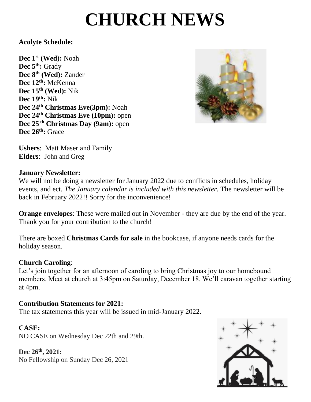# **CHURCH NEWS**

### **Acolyte Schedule:**

 **Dec 24th Christmas Eve(3pm):** Noah **Dec 1st (Wed):** Noah **Dec 5th:** Grady **Dec 8th (Wed):** Zander **Dec 12th:** McKenna **Dec 15th (Wed):** Nik **Dec 19th:** Nik **Dec 24th Christmas Eve (10pm):** open **Dec 25 th Christmas Day (9am):** open **Dec 26th:** Grace



**Ushers**: Matt Maser and Family **Elders**: John and Greg

### **January Newsletter:**

We will not be doing a newsletter for January 2022 due to conflicts in schedules, holiday events, and ect. *The January calendar is included with this newsletter.* The newsletter will be back in February 2022!! Sorry for the inconvenience!

**Orange envelopes**: These were mailed out in November - they are due by the end of the year. Thank you for your contribution to the church!

There are boxed **Christmas Cards for sale** in the bookcase, if anyone needs cards for the holiday season.

### **Church Caroling**:

Let's join together for an afternoon of caroling to bring Christmas joy to our homebound members. Meet at church at 3:45pm on Saturday, December 18. We'll caravan together starting at 4pm.

### **Contribution Statements for 2021:**

The tax statements this year will be issued in mid-January 2022.

#### **CASE:**

NO CASE on Wednesday Dec 22th and 29th.

**Dec 26th, 2021:** No Fellowship on Sunday Dec 26, 2021

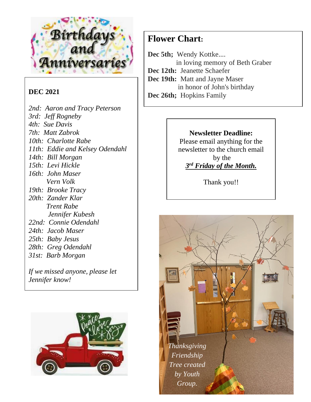

### **DEC 2021**

*2nd: Aaron and Tracy Peterson 3rd: Jeff Rogneby 4th: Sue Davis 7th: Matt Zabrok 10th: Charlotte Rabe 11th: Eddie and Kelsey Odendahl 14th: Bill Morgan 15th: Levi Hickle 16th: John Maser Vern Volk 19th: Brooke Tracy 20th: Zander Klar Trent Rabe Jennifer Kubesh 22nd: Connie Odendahl 24th: Jacob Maser 25th: Baby Jesus 28th: Greg Odendahl 31st: Barb Morgan*

*If we missed anyone, please let Jennifer know!*



### **Flower Chart:**

Dec 5th; Wendy Kottke.... in loving memory of Beth Graber **Dec 12th:** Jeanette Schaefer **Dec 19th:** Matt and Jayne Maser in honor of John's birthday

**Dec 26th;** Hopkins Family

#### **Newsletter Deadline:**

Please email anything for the newsletter to the church email by the *3 rd Friday of the Month.*

Thank you!!

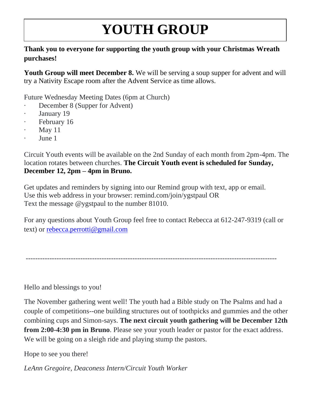# **YOUTH GROUP**

### **Thank you to everyone for supporting the youth group with your Christmas Wreath purchases!**

**Youth Group will meet December 8.** We will be serving a soup supper for advent and will try a Nativity Escape room after the Advent Service as time allows.

Future Wednesday Meeting Dates (6pm at Church)

- · December 8 (Supper for Advent)
- January 19
- · February 16
- May  $11$
- June 1

Circuit Youth events will be available on the 2nd Sunday of each month from 2pm-4pm. The location rotates between churches. **The Circuit Youth event is scheduled for Sunday, December 12, 2pm – 4pm in Bruno.**

Get updates and reminders by signing into our Remind group with text, app or email. Use this web address in your browser: remind.com/join/ygstpaul OR Text the message @ygstpaul to the number 81010.

For any questions about Youth Group feel free to contact Rebecca at 612-247-9319 (call or text) or [rebecca.perrotti@gmail.com](mailto:rebecca.perrotti@gmail.com)

----------------------------------------------------------------------------------------------------------

Hello and blessings to you!

The November gathering went well! The youth had a Bible study on The Psalms and had a couple of competitions--one building structures out of toothpicks and gummies and the other combining cups and Simon-says. **The next circuit youth gathering will be December 12th from 2:00-4:30 pm in Bruno**. Please see your youth leader or pastor for the exact address. We will be going on a sleigh ride and playing stump the pastors.

Hope to see you there!

*LeAnn Gregoire, Deaconess Intern/Circuit Youth Worker*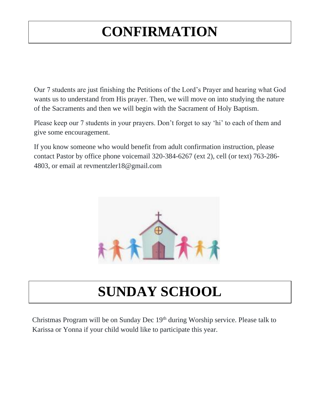## **CONFIRMATION**

Our 7 students are just finishing the Petitions of the Lord's Prayer and hearing what God wants us to understand from His prayer. Then, we will move on into studying the nature of the Sacraments and then we will begin with the Sacrament of Holy Baptism.

Please keep our 7 students in your prayers. Don't forget to say 'hi' to each of them and give some encouragement.

If you know someone who would benefit from adult confirmation instruction, please contact Pastor by office phone voicemail 320-384-6267 (ext 2), cell (or text) 763-286- 4803, or email at revmentzler18@gmail.com



## **SUNDAY SCHOOL**

Christmas Program will be on Sunday Dec 19<sup>th</sup> during Worship service. Please talk to Karissa or Yonna if your child would like to participate this year.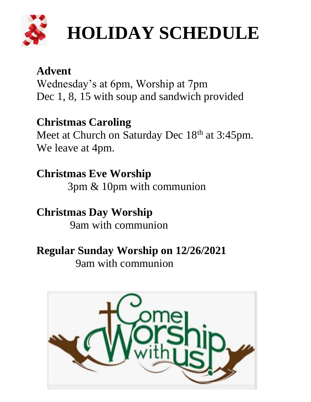

# **HOLIDAY SCHEDULE**

## **Advent**

Wednesday's at 6pm, Worship at 7pm Dec 1, 8, 15 with soup and sandwich provided

## **Christmas Caroling**

Meet at Church on Saturday Dec 18<sup>th</sup> at 3:45pm. We leave at 4pm.

## **Christmas Eve Worship**

3pm & 10pm with communion

## **Christmas Day Worship**

9am with communion

### **Regular Sunday Worship on 12/26/2021**

9am with communion

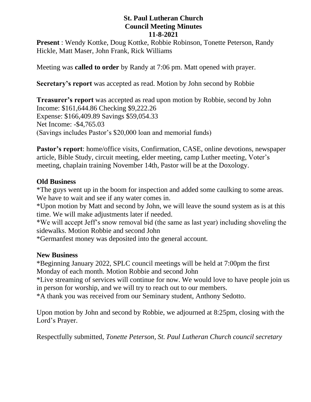#### **St. Paul Lutheran Church Council Meeting Minutes 11-8-2021**

**Present** : Wendy Kottke, Doug Kottke, Robbie Robinson, Tonette Peterson, Randy Hickle, Matt Maser, John Frank, Rick Williams

Meeting was **called to order** by Randy at 7:06 pm. Matt opened with prayer.

**Secretary's report** was accepted as read. Motion by John second by Robbie

**Treasurer's report** was accepted as read upon motion by Robbie, second by John Income: \$161,644.86 Checking \$9,222.26 Expense: \$166,409.89 Savings \$59,054.33 Net Income: -\$4,765.03 (Savings includes Pastor's \$20,000 loan and memorial funds)

**Pastor's report**: home/office visits, Confirmation, CASE, online devotions, newspaper article, Bible Study, circuit meeting, elder meeting, camp Luther meeting, Voter's meeting, chaplain training November 14th, Pastor will be at the Doxology.

### **Old Business**

\*The guys went up in the boom for inspection and added some caulking to some areas. We have to wait and see if any water comes in.

\*Upon motion by Matt and second by John, we will leave the sound system as is at this time. We will make adjustments later if needed.

\*We will accept Jeff's snow removal bid (the same as last year) including shoveling the sidewalks. Motion Robbie and second John

\*Germanfest money was deposited into the general account.

#### **New Business**

\*Beginning January 2022, SPLC council meetings will be held at 7:00pm the first Monday of each month. Motion Robbie and second John

\*Live streaming of services will continue for now. We would love to have people join us in person for worship, and we will try to reach out to our members.

\*A thank you was received from our Seminary student, Anthony Sedotto.

Upon motion by John and second by Robbie, we adjourned at 8:25pm, closing with the Lord's Prayer.

Respectfully submitted, *Tonette Peterson, St. Paul Lutheran Church council secretary*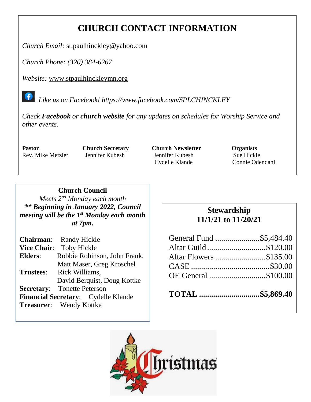### **CHURCH CONTACT INFORMATION**

*Church Email:* [st.paulhinckley@yahoo.com](mailto:st.paulhinckley@yahoo.com)

*Church Phone: (320) 384-6267*

*Website:* [www.stpaulhinckleymn.org](http://www.stpaulhinckleymn.org/)

 *Like us on Facebook!<https://www.facebook.com/SPLCHINCKLEY>*

*Check Facebook or church website for any updates on schedules for Worship Service and other events.* 

**Pastor Church Secretary Church Newsletter Organists** Rev. Mike Metzler Jennifer Kubesh Jennifer Kubesh Sue Hickle Cydelle Klande Connie Odendahl

#### **Church Council**

*Meets 2nd Monday each month \*\* Beginning in January 2022, Council meeting will be the 1st Monday each month at 7pm.* 

|                  | <b>Chairman:</b> Randy Hickle              |
|------------------|--------------------------------------------|
|                  | Vice Chair: Toby Hickle                    |
| Elders:          | Robbie Robinson, John Frank,               |
|                  | Matt Maser, Greg Kroschel                  |
| <b>Trustees:</b> | Rick Williams.                             |
|                  | David Berguist, Doug Kottke                |
|                  | <b>Secretary:</b> Tonette Peterson         |
|                  | <b>Financial Secretary:</b> Cydelle Klande |
|                  | <b>Treasurer:</b> Wendy Kottke             |

### **Stewardship 11/1/21 to 11/20/21**

| General Fund \$5,484.40 |  |
|-------------------------|--|
| Altar Guild\$120.00     |  |
| Altar Flowers \$135.00  |  |
|                         |  |
| OE General \$100.00     |  |
|                         |  |

**TOTAL ..............................\$5,869.40**

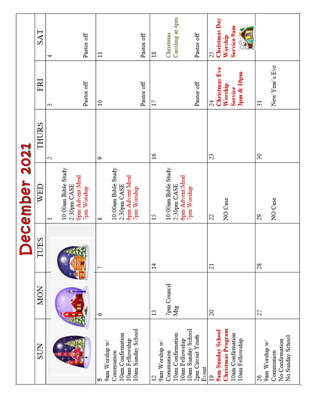|                                                                                                                                           |                          |                | ecember 2021                                                                                                   |               |                                                                           |                                                              |
|-------------------------------------------------------------------------------------------------------------------------------------------|--------------------------|----------------|----------------------------------------------------------------------------------------------------------------|---------------|---------------------------------------------------------------------------|--------------------------------------------------------------|
| <b>SUN</b>                                                                                                                                | <b>MON</b>               | <b>TUES</b>    | WED                                                                                                            | THURS         | FRI                                                                       | SAT                                                          |
|                                                                                                                                           |                          |                | 10:00am Bible Study<br><b>6pm Advent Meal</b><br>2:30pm CASE<br><b>7pm Worship</b><br>$\overline{\phantom{0}}$ | 2             | Pastor off<br>S                                                           | Pastor off<br>4                                              |
| 10am Sunday School<br>10am Confirmation<br>10am Fellowship<br>9am Worship w/<br>Communion<br>n                                            | ७                        | L              | 10:00am Bible Study<br><b>6pm Advent Meal</b><br>2:30pm CASE<br><b>7pm Worship</b><br>∞                        | G             | Pastor off<br>$\approx$                                                   | Pastor off<br>$\Xi$                                          |
| 10am Sunday School<br>10am Confirmation<br>2pm Circuit Youth<br>10am Fellowship<br>9am Worship w/<br>Communion<br>Event<br>$\overline{c}$ | 7pm Council<br>Mtg<br>13 | $\sharp$       | 10:00am Bible Study<br><b>6pm Advent Meal</b><br>2:30pm CASE<br>7pm Worship<br>$\overline{15}$                 | $\frac{8}{2}$ | Pastor off<br>17                                                          | Caroling at 4pm<br>Christmas<br>Pastor off<br>$\frac{8}{10}$ |
| Christmas Program<br>9am Sunday School<br>10am Confirmation<br>10am Fellowship<br>$\overline{19}$                                         | 20                       | $\overline{z}$ | NO Case<br>22                                                                                                  | 23            | <b>Christmas Eve</b><br>$3pm$ & $10pm$<br>Worship<br><b>Service</b><br>24 | Christmas Day<br>Service 9am<br>Worship<br>25                |
| No Sunday School<br>No Confirmation<br>9am Worship w/<br>Communion<br>26                                                                  | 27                       | 28             | NO Case<br>29                                                                                                  | 30            | New Year's Eve<br>$\overline{31}$                                         |                                                              |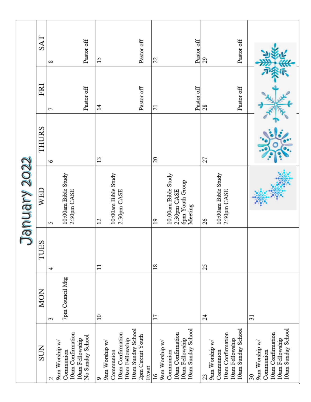|                                       |                 |                | January 2022                          |              |                 |            |
|---------------------------------------|-----------------|----------------|---------------------------------------|--------------|-----------------|------------|
| <b>SUN</b>                            | <b>MON</b>      | <b>TUES</b>    | WED                                   | THURS        | FRI             | SAT        |
| 9am Worship w/<br>N                   | S               | 4              | S                                     | 6            | ſ               | ∞          |
| 10am Confirmation<br>Communion        | 7pm Council Mtg |                | 10:00am Bible Study<br>2:30pm CASE    |              |                 |            |
| No Sunday School<br>10am Fellowship   |                 |                |                                       |              | Pastor off      | Pastor off |
| 9am Worship w/<br>۰                   | $\approx$       | $\Xi$          | $\mathfrak{1}$                        | $\mathbf{1}$ | $\overline{1}$  | $^{5}$     |
| 10am Confirmation<br>Communion        |                 |                | 10:00am Bible Study<br>2:30pm CASE    |              |                 |            |
| 10am Sunday School<br>10am Fellowship |                 |                |                                       |              |                 |            |
| 2pm Circuit Youth<br>Event            |                 |                |                                       |              | Pastor off      | Pastor off |
| 9am Worship w/<br>$\frac{6}{2}$       | 17              | $\frac{8}{18}$ | $\overline{c}$                        | 20           | $\overline{21}$ | 22         |
| Communion                             |                 |                | 10:00am Bible Study                   |              |                 |            |
| 10am Confirmation<br>10am Fellowship  |                 |                | <b>6pm Youth Group</b><br>2:30pm CASE |              |                 |            |
| 10am Sunday School                    |                 |                | Meeting                               |              | Pastor off      | Pastor off |
| 23                                    | 24              | 25             | 26                                    | 27           | 28              | 29         |
| 9am Worship w/<br>Communion           |                 |                | 10:00am Bible Study                   |              |                 |            |
| 10am Confirmation<br>10am Fellowship  |                 |                | 2:30pm CASE                           |              |                 |            |
| 10am Sunday School                    |                 |                |                                       |              | Pastor off      | Pastor off |
| 9am Worship w/<br>$\overline{30}$     | $\overline{31}$ |                |                                       |              |                 |            |
| Communion                             |                 |                |                                       |              |                 |            |
| 10am Confirmation<br>10am Fellowship  |                 |                |                                       |              |                 |            |
| 10am Sunday School                    |                 |                |                                       |              |                 |            |